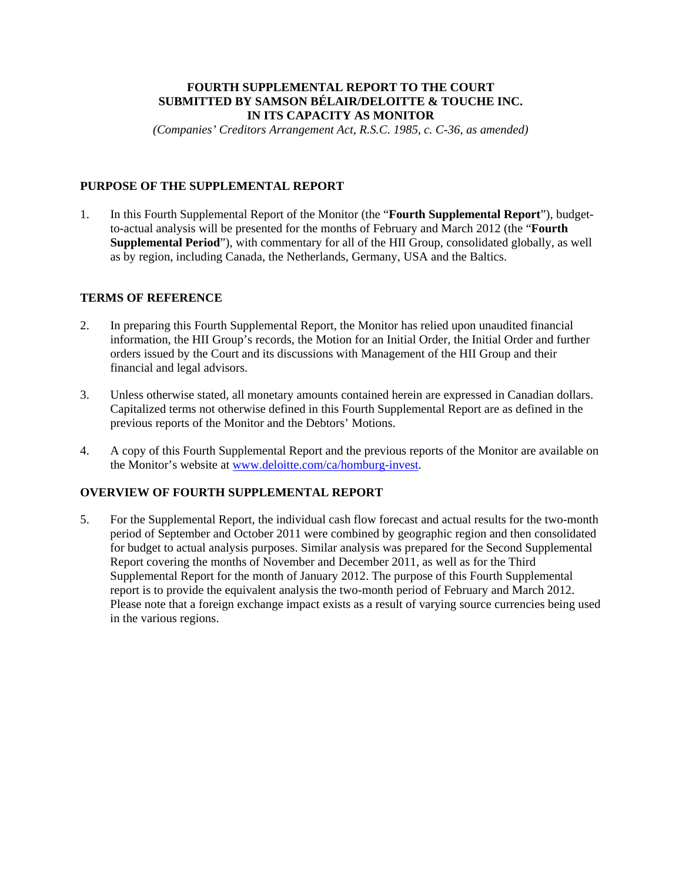## **FOURTH SUPPLEMENTAL REPORT TO THE COURT SUBMITTED BY SAMSON BÉLAIR/DELOITTE & TOUCHE INC. IN ITS CAPACITY AS MONITOR**

*(Companies' Creditors Arrangement Act, R.S.C. 1985, c. C-36, as amended)* 

## **PURPOSE OF THE SUPPLEMENTAL REPORT**

1. In this Fourth Supplemental Report of the Monitor (the "**Fourth Supplemental Report**"), budgetto-actual analysis will be presented for the months of February and March 2012 (the "**Fourth Supplemental Period**"), with commentary for all of the HII Group, consolidated globally, as well as by region, including Canada, the Netherlands, Germany, USA and the Baltics.

## **TERMS OF REFERENCE**

- 2. In preparing this Fourth Supplemental Report, the Monitor has relied upon unaudited financial information, the HII Group's records, the Motion for an Initial Order, the Initial Order and further orders issued by the Court and its discussions with Management of the HII Group and their financial and legal advisors.
- 3. Unless otherwise stated, all monetary amounts contained herein are expressed in Canadian dollars. Capitalized terms not otherwise defined in this Fourth Supplemental Report are as defined in the previous reports of the Monitor and the Debtors' Motions.
- 4. A copy of this Fourth Supplemental Report and the previous reports of the Monitor are available on the Monitor's website at www.deloitte.com/ca/homburg-invest.

## **OVERVIEW OF FOURTH SUPPLEMENTAL REPORT**

5. For the Supplemental Report, the individual cash flow forecast and actual results for the two-month period of September and October 2011 were combined by geographic region and then consolidated for budget to actual analysis purposes. Similar analysis was prepared for the Second Supplemental Report covering the months of November and December 2011, as well as for the Third Supplemental Report for the month of January 2012. The purpose of this Fourth Supplemental report is to provide the equivalent analysis the two-month period of February and March 2012. Please note that a foreign exchange impact exists as a result of varying source currencies being used in the various regions.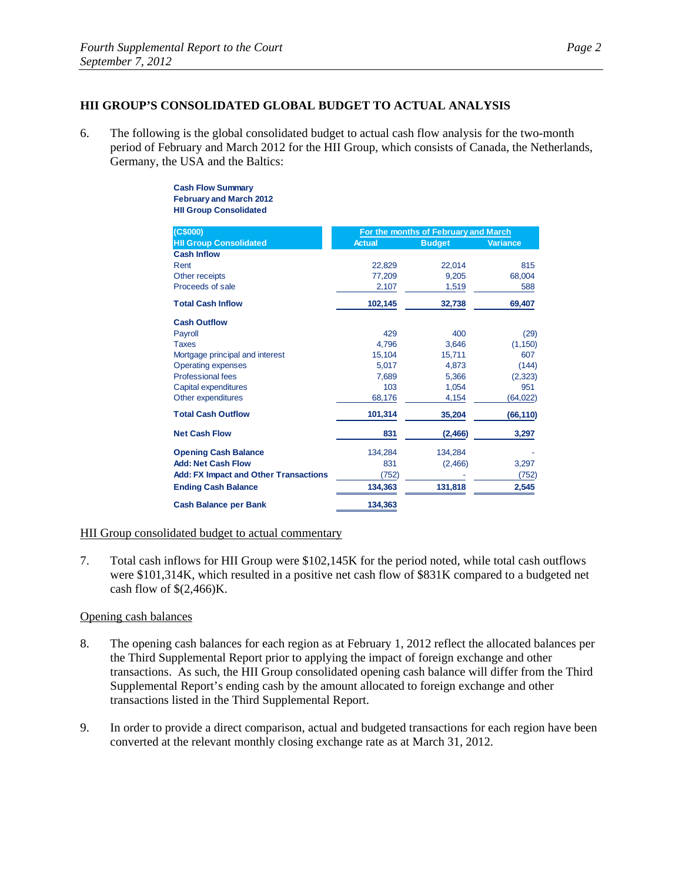## **HII GROUP'S CONSOLIDATED GLOBAL BUDGET TO ACTUAL ANALYSIS**

6. The following is the global consolidated budget to actual cash flow analysis for the two-month period of February and March 2012 for the HII Group, which consists of Canada, the Netherlands, Germany, the USA and the Baltics:

#### **Cash Flow Summary February and March 2012 HII Group Consolidated**

| (C\$000)                                     | For the months of February and March |               |           |
|----------------------------------------------|--------------------------------------|---------------|-----------|
| <b>HII Group Consolidated</b>                | <b>Actual</b>                        | <b>Budget</b> | Variance  |
| <b>Cash Inflow</b>                           |                                      |               |           |
| Rent                                         | 22,829                               | 22,014        | 815       |
| Other receipts                               | 77.209                               | 9.205         | 68,004    |
| Proceeds of sale                             | 2,107                                | 1,519         | 588       |
| <b>Total Cash Inflow</b>                     | 102,145                              | 32,738        | 69,407    |
| <b>Cash Outflow</b>                          |                                      |               |           |
| Payroll                                      | 429                                  | 400           | (29)      |
| <b>Taxes</b>                                 | 4.796                                | 3.646         | (1, 150)  |
| Mortgage principal and interest              | 15,104                               | 15,711        | 607       |
| <b>Operating expenses</b>                    | 5.017                                | 4.873         | (144)     |
| <b>Professional fees</b>                     | 7.689                                | 5.366         | (2, 323)  |
| Capital expenditures                         | 103                                  | 1,054         | 951       |
| Other expenditures                           | 68,176                               | 4,154         | (64, 022) |
| <b>Total Cash Outflow</b>                    | 101,314                              | 35,204        | (66, 110) |
| <b>Net Cash Flow</b>                         | 831                                  | (2,466)       | 3,297     |
| <b>Opening Cash Balance</b>                  | 134,284                              | 134,284       |           |
| <b>Add: Net Cash Flow</b>                    | 831                                  | (2,466)       | 3,297     |
| <b>Add: FX Impact and Other Transactions</b> | (752)                                |               | (752)     |
| <b>Ending Cash Balance</b>                   | 134.363                              | 131,818       | 2,545     |
| <b>Cash Balance per Bank</b>                 | 134,363                              |               |           |

## HII Group consolidated budget to actual commentary

7. Total cash inflows for HII Group were \$102,145K for the period noted, while total cash outflows were \$101,314K, which resulted in a positive net cash flow of \$831K compared to a budgeted net cash flow of  $\S(2,466)$ K.

#### Opening cash balances

- 8. The opening cash balances for each region as at February 1, 2012 reflect the allocated balances per the Third Supplemental Report prior to applying the impact of foreign exchange and other transactions. As such, the HII Group consolidated opening cash balance will differ from the Third Supplemental Report's ending cash by the amount allocated to foreign exchange and other transactions listed in the Third Supplemental Report.
- 9. In order to provide a direct comparison, actual and budgeted transactions for each region have been converted at the relevant monthly closing exchange rate as at March 31, 2012.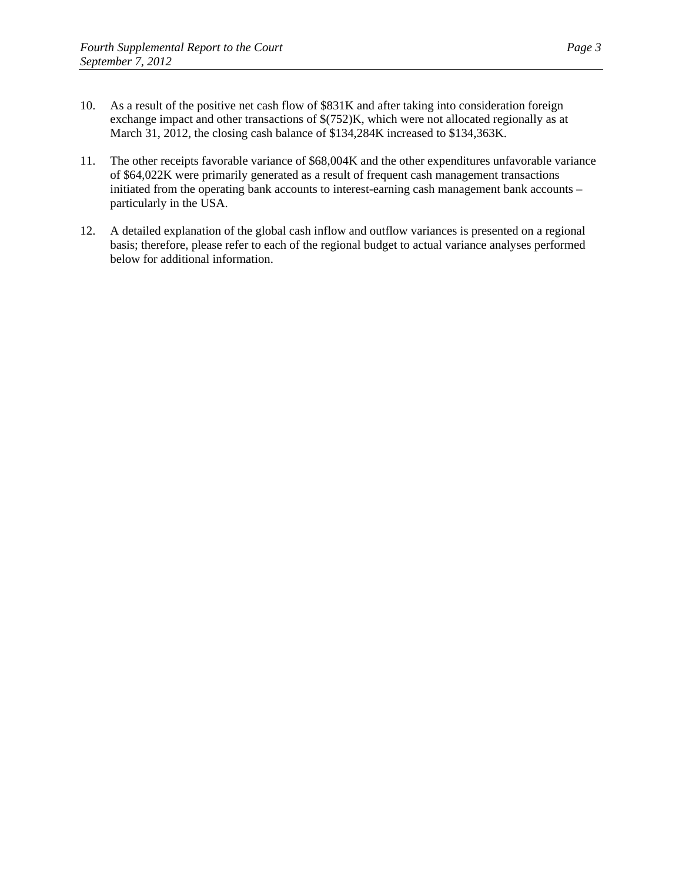- 10. As a result of the positive net cash flow of \$831K and after taking into consideration foreign exchange impact and other transactions of \$(752)K, which were not allocated regionally as at March 31, 2012, the closing cash balance of \$134,284K increased to \$134,363K.
- 11. The other receipts favorable variance of \$68,004K and the other expenditures unfavorable variance of \$64,022K were primarily generated as a result of frequent cash management transactions initiated from the operating bank accounts to interest-earning cash management bank accounts – particularly in the USA.
- 12. A detailed explanation of the global cash inflow and outflow variances is presented on a regional basis; therefore, please refer to each of the regional budget to actual variance analyses performed below for additional information.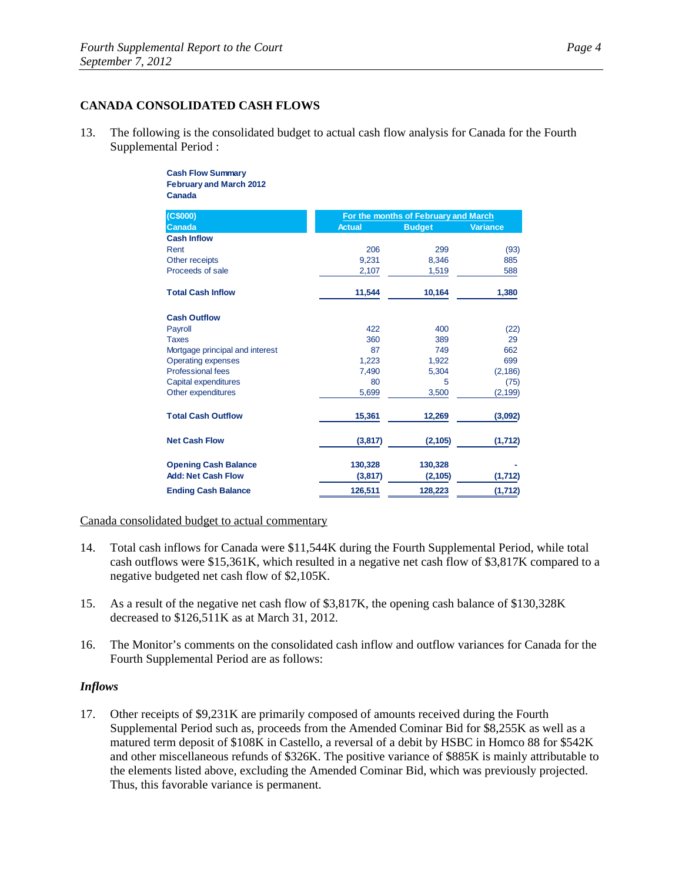## **CANADA CONSOLIDATED CASH FLOWS**

13. The following is the consolidated budget to actual cash flow analysis for Canada for the Fourth Supplemental Period :

#### **Cash Flow Summary February and March 2012 Canada**

| (C\$000)                        | For the months of February and March |               |                 |
|---------------------------------|--------------------------------------|---------------|-----------------|
| <b>Canada</b>                   | <b>Actual</b>                        | <b>Budget</b> | <b>Variance</b> |
| <b>Cash Inflow</b>              |                                      |               |                 |
| Rent                            | 206                                  | 299           | (93)            |
| Other receipts                  | 9.231                                | 8,346         | 885             |
| Proceeds of sale                | 2,107                                | 1,519         | 588             |
| <b>Total Cash Inflow</b>        | 11,544                               | 10,164        | 1,380           |
| <b>Cash Outflow</b>             |                                      |               |                 |
| Payroll                         | 422                                  | 400           | (22)            |
| <b>Taxes</b>                    | 360                                  | 389           | 29              |
| Mortgage principal and interest | 87                                   | 749           | 662             |
| <b>Operating expenses</b>       | 1,223                                | 1,922         | 699             |
| <b>Professional fees</b>        | 7,490                                | 5,304         | (2, 186)        |
| Capital expenditures            | 80                                   | 5             | (75)            |
| Other expenditures              | 5,699                                | 3,500         | (2, 199)        |
| <b>Total Cash Outflow</b>       | 15,361                               | 12,269        | (3,092)         |
| <b>Net Cash Flow</b>            | (3, 817)                             | (2, 105)      | (1,712)         |
| <b>Opening Cash Balance</b>     | 130,328                              | 130,328       |                 |
| <b>Add: Net Cash Flow</b>       | (3,817)                              | (2, 105)      | (1,712)         |
| <b>Ending Cash Balance</b>      | 126,511                              | 128,223       | (1,712)         |

Canada consolidated budget to actual commentary

- 14. Total cash inflows for Canada were \$11,544K during the Fourth Supplemental Period, while total cash outflows were \$15,361K, which resulted in a negative net cash flow of \$3,817K compared to a negative budgeted net cash flow of \$2,105K.
- 15. As a result of the negative net cash flow of \$3,817K, the opening cash balance of \$130,328K decreased to \$126,511K as at March 31, 2012.
- 16. The Monitor's comments on the consolidated cash inflow and outflow variances for Canada for the Fourth Supplemental Period are as follows:

## *Inflows*

17. Other receipts of \$9,231K are primarily composed of amounts received during the Fourth Supplemental Period such as, proceeds from the Amended Cominar Bid for \$8,255K as well as a matured term deposit of \$108K in Castello, a reversal of a debit by HSBC in Homco 88 for \$542K and other miscellaneous refunds of \$326K. The positive variance of \$885K is mainly attributable to the elements listed above, excluding the Amended Cominar Bid, which was previously projected. Thus, this favorable variance is permanent.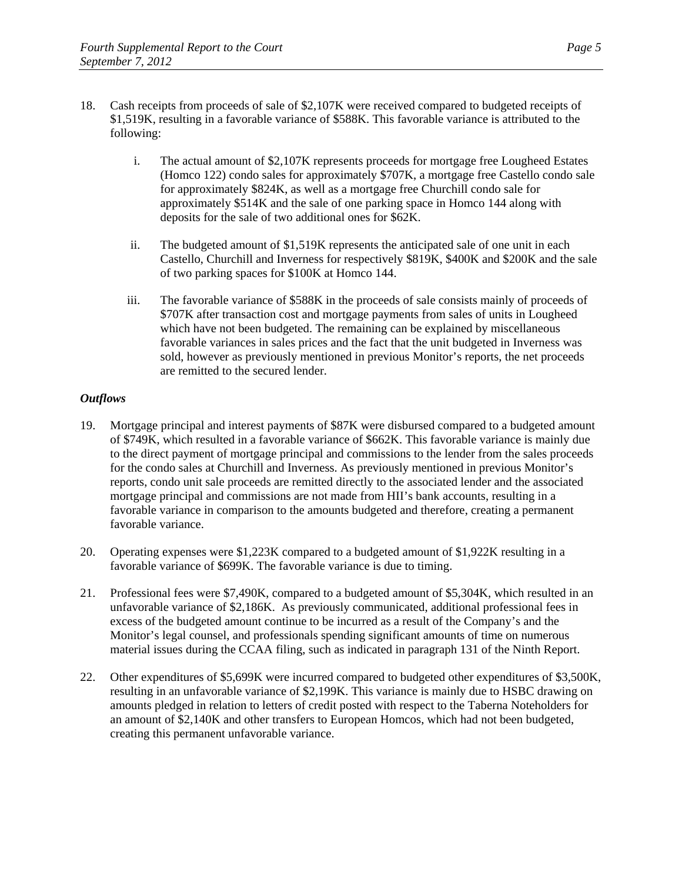- 18. Cash receipts from proceeds of sale of \$2,107K were received compared to budgeted receipts of \$1,519K, resulting in a favorable variance of \$588K. This favorable variance is attributed to the following:
	- i. The actual amount of \$2,107K represents proceeds for mortgage free Lougheed Estates (Homco 122) condo sales for approximately \$707K, a mortgage free Castello condo sale for approximately \$824K, as well as a mortgage free Churchill condo sale for approximately \$514K and the sale of one parking space in Homco 144 along with deposits for the sale of two additional ones for \$62K.
	- ii. The budgeted amount of \$1,519K represents the anticipated sale of one unit in each Castello, Churchill and Inverness for respectively \$819K, \$400K and \$200K and the sale of two parking spaces for \$100K at Homco 144.
	- iii. The favorable variance of \$588K in the proceeds of sale consists mainly of proceeds of \$707K after transaction cost and mortgage payments from sales of units in Lougheed which have not been budgeted. The remaining can be explained by miscellaneous favorable variances in sales prices and the fact that the unit budgeted in Inverness was sold, however as previously mentioned in previous Monitor's reports, the net proceeds are remitted to the secured lender.

- 19. Mortgage principal and interest payments of \$87K were disbursed compared to a budgeted amount of \$749K, which resulted in a favorable variance of \$662K. This favorable variance is mainly due to the direct payment of mortgage principal and commissions to the lender from the sales proceeds for the condo sales at Churchill and Inverness. As previously mentioned in previous Monitor's reports, condo unit sale proceeds are remitted directly to the associated lender and the associated mortgage principal and commissions are not made from HII's bank accounts, resulting in a favorable variance in comparison to the amounts budgeted and therefore, creating a permanent favorable variance.
- 20. Operating expenses were \$1,223K compared to a budgeted amount of \$1,922K resulting in a favorable variance of \$699K. The favorable variance is due to timing.
- 21. Professional fees were \$7,490K, compared to a budgeted amount of \$5,304K, which resulted in an unfavorable variance of \$2,186K. As previously communicated, additional professional fees in excess of the budgeted amount continue to be incurred as a result of the Company's and the Monitor's legal counsel, and professionals spending significant amounts of time on numerous material issues during the CCAA filing, such as indicated in paragraph 131 of the Ninth Report.
- 22. Other expenditures of \$5,699K were incurred compared to budgeted other expenditures of \$3,500K, resulting in an unfavorable variance of \$2,199K. This variance is mainly due to HSBC drawing on amounts pledged in relation to letters of credit posted with respect to the Taberna Noteholders for an amount of \$2,140K and other transfers to European Homcos, which had not been budgeted, creating this permanent unfavorable variance.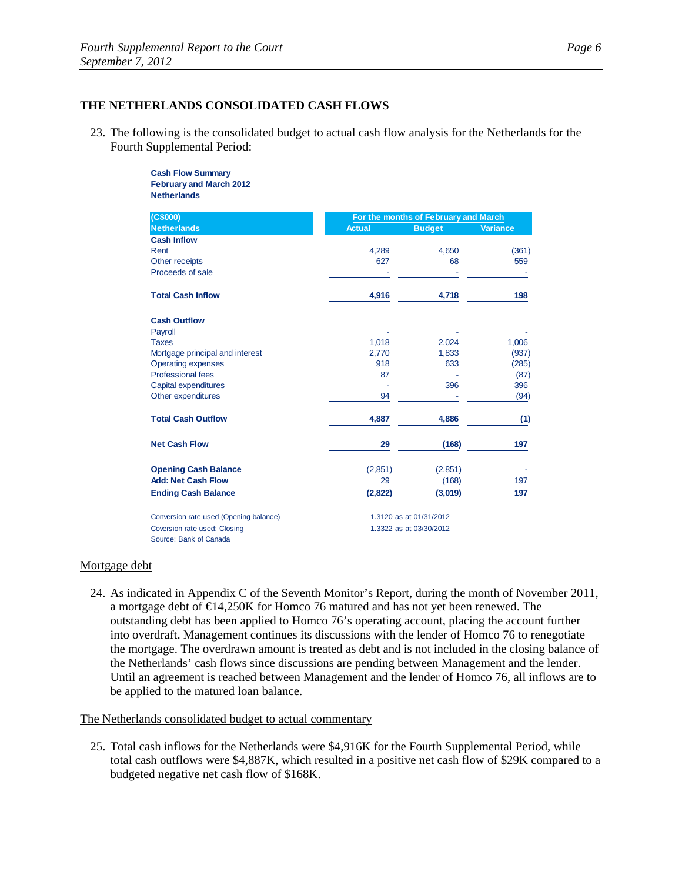#### **THE NETHERLANDS CONSOLIDATED CASH FLOWS**

23. The following is the consolidated budget to actual cash flow analysis for the Netherlands for the Fourth Supplemental Period:

> **Cash Flow Summary February and March 2012 Netherlands**

| (C\$000)                               | For the months of February and March |                         |                 |  |
|----------------------------------------|--------------------------------------|-------------------------|-----------------|--|
| <b>Netherlands</b>                     | <b>Actual</b>                        | <b>Budget</b>           | <b>Variance</b> |  |
| <b>Cash Inflow</b>                     |                                      |                         |                 |  |
| Rent                                   | 4,289                                | 4,650                   | (361)           |  |
| Other receipts                         | 627                                  | 68                      | 559             |  |
| Proceeds of sale                       |                                      |                         |                 |  |
| <b>Total Cash Inflow</b>               | 4,916                                | 4,718                   | 198             |  |
| <b>Cash Outflow</b>                    |                                      |                         |                 |  |
| Payroll                                |                                      |                         |                 |  |
| <b>Taxes</b>                           | 1,018                                | 2,024                   | 1,006           |  |
| Mortgage principal and interest        | 2,770                                | 1,833                   | (937)           |  |
| <b>Operating expenses</b>              | 918                                  | 633                     | (285)           |  |
| <b>Professional fees</b>               | 87                                   |                         | (87)            |  |
| Capital expenditures                   |                                      | 396                     | 396             |  |
| Other expenditures                     | 94                                   |                         | (94)            |  |
| <b>Total Cash Outflow</b>              | 4,887                                | 4,886                   | (1)             |  |
| <b>Net Cash Flow</b>                   | 29                                   | (168)                   | 197             |  |
| <b>Opening Cash Balance</b>            | (2,851)                              | (2,851)                 |                 |  |
| <b>Add: Net Cash Flow</b>              | 29                                   | (168)                   | 197             |  |
| <b>Ending Cash Balance</b>             | (2,822)                              | (3,019)                 | 197             |  |
| Conversion rate used (Opening balance) |                                      | 1.3120 as at 01/31/2012 |                 |  |
| Coversion rate used: Closing           |                                      | 1.3322 as at 03/30/2012 |                 |  |
| Source: Bank of Canada                 |                                      |                         |                 |  |

#### Mortgage debt

24. As indicated in Appendix C of the Seventh Monitor's Report, during the month of November 2011, a mortgage debt of €14,250K for Homco 76 matured and has not yet been renewed. The outstanding debt has been applied to Homco 76's operating account, placing the account further into overdraft. Management continues its discussions with the lender of Homco 76 to renegotiate the mortgage. The overdrawn amount is treated as debt and is not included in the closing balance of the Netherlands' cash flows since discussions are pending between Management and the lender. Until an agreement is reached between Management and the lender of Homco 76, all inflows are to be applied to the matured loan balance.

The Netherlands consolidated budget to actual commentary

25. Total cash inflows for the Netherlands were \$4,916K for the Fourth Supplemental Period, while total cash outflows were \$4,887K, which resulted in a positive net cash flow of \$29K compared to a budgeted negative net cash flow of \$168K.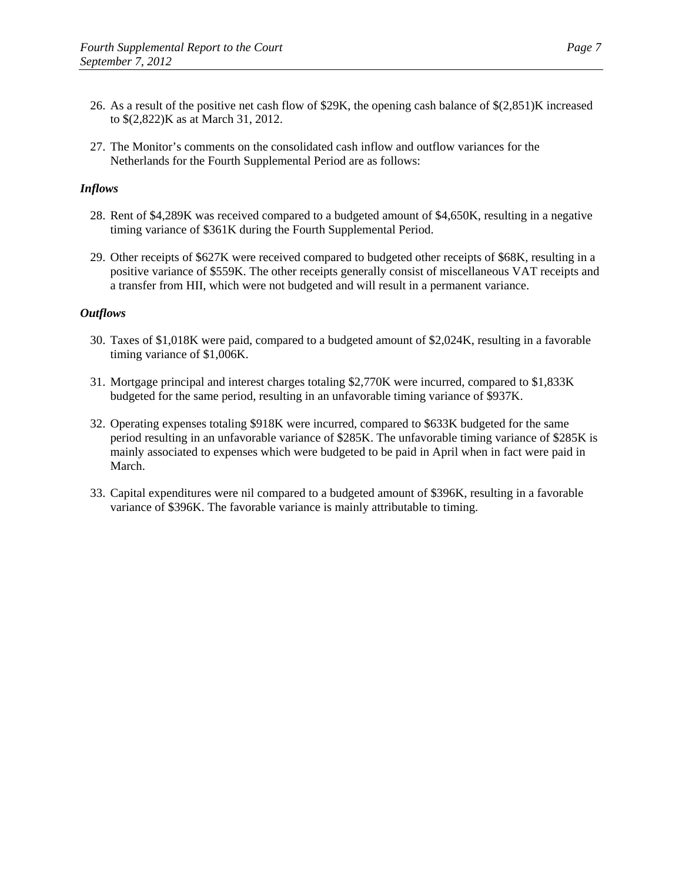- 26. As a result of the positive net cash flow of \$29K, the opening cash balance of \$(2,851)K increased to \$(2,822)K as at March 31, 2012.
- 27. The Monitor's comments on the consolidated cash inflow and outflow variances for the Netherlands for the Fourth Supplemental Period are as follows:

## *Inflows*

- 28. Rent of \$4,289K was received compared to a budgeted amount of \$4,650K, resulting in a negative timing variance of \$361K during the Fourth Supplemental Period.
- 29. Other receipts of \$627K were received compared to budgeted other receipts of \$68K, resulting in a positive variance of \$559K. The other receipts generally consist of miscellaneous VAT receipts and a transfer from HII, which were not budgeted and will result in a permanent variance.

- 30. Taxes of \$1,018K were paid, compared to a budgeted amount of \$2,024K, resulting in a favorable timing variance of \$1,006K.
- 31. Mortgage principal and interest charges totaling \$2,770K were incurred, compared to \$1,833K budgeted for the same period, resulting in an unfavorable timing variance of \$937K.
- 32. Operating expenses totaling \$918K were incurred, compared to \$633K budgeted for the same period resulting in an unfavorable variance of \$285K. The unfavorable timing variance of \$285K is mainly associated to expenses which were budgeted to be paid in April when in fact were paid in March.
- 33. Capital expenditures were nil compared to a budgeted amount of \$396K, resulting in a favorable variance of \$396K. The favorable variance is mainly attributable to timing.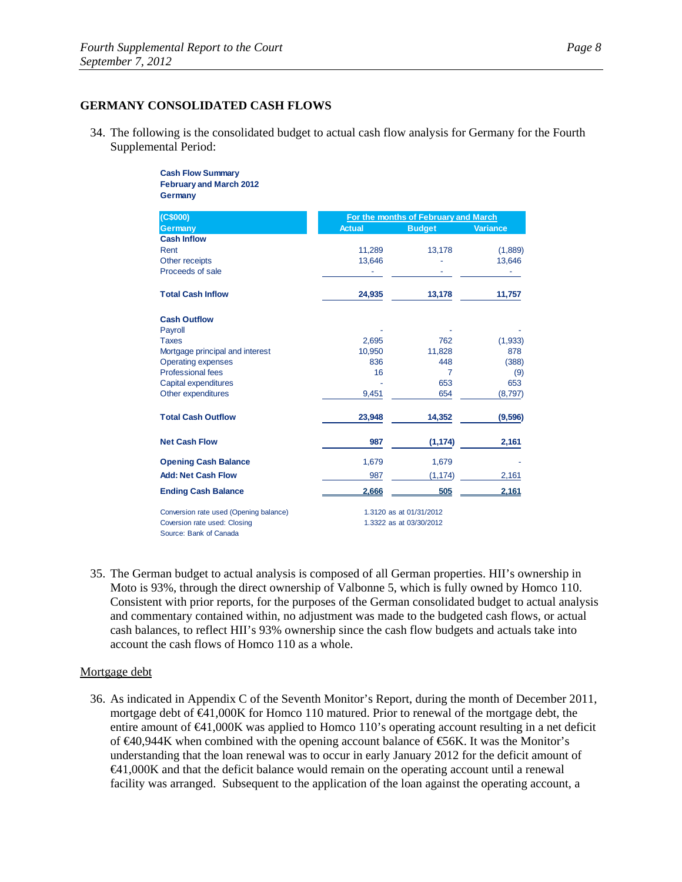### **GERMANY CONSOLIDATED CASH FLOWS**

34. The following is the consolidated budget to actual cash flow analysis for Germany for the Fourth Supplemental Period:

> **Cash Flow Summary February and March 2012 Germany**

| (C\$000)                               | For the months of February and March |                         |                 |
|----------------------------------------|--------------------------------------|-------------------------|-----------------|
| <b>Germany</b>                         | <b>Actual</b>                        | <b>Budget</b>           | <b>Variance</b> |
| <b>Cash Inflow</b>                     |                                      |                         |                 |
| Rent                                   | 11,289                               | 13,178                  | (1,889)         |
| Other receipts                         | 13,646                               |                         | 13,646          |
| Proceeds of sale                       |                                      |                         |                 |
| <b>Total Cash Inflow</b>               | 24,935                               | 13,178                  | 11,757          |
| <b>Cash Outflow</b>                    |                                      |                         |                 |
| Payroll                                |                                      |                         |                 |
| <b>Taxes</b>                           | 2,695                                | 762                     | (1,933)         |
| Mortgage principal and interest        | 10,950                               | 11,828                  | 878             |
| <b>Operating expenses</b>              | 836                                  | 448                     | (388)           |
| <b>Professional fees</b>               | 16                                   | $\overline{7}$          | (9)             |
| Capital expenditures                   |                                      | 653                     | 653             |
| Other expenditures                     | 9,451                                | 654                     | (8,797)         |
| <b>Total Cash Outflow</b>              | 23,948                               | 14,352                  | (9,596)         |
| <b>Net Cash Flow</b>                   | 987                                  | (1, 174)                | 2,161           |
| <b>Opening Cash Balance</b>            | 1,679                                | 1,679                   |                 |
| <b>Add: Net Cash Flow</b>              | 987                                  | (1, 174)                | 2,161           |
| <b>Ending Cash Balance</b>             | 2,666                                | 505                     | 2,161           |
| Conversion rate used (Opening balance) | 1.3120 as at 01/31/2012              |                         |                 |
| Coversion rate used: Closing           |                                      | 1.3322 as at 03/30/2012 |                 |
| Source: Bank of Canada                 |                                      |                         |                 |

35. The German budget to actual analysis is composed of all German properties. HII's ownership in Moto is 93%, through the direct ownership of Valbonne 5, which is fully owned by Homco 110. Consistent with prior reports, for the purposes of the German consolidated budget to actual analysis and commentary contained within, no adjustment was made to the budgeted cash flows, or actual cash balances, to reflect HII's 93% ownership since the cash flow budgets and actuals take into account the cash flows of Homco 110 as a whole.

## Mortgage debt

36. As indicated in Appendix C of the Seventh Monitor's Report, during the month of December 2011, mortgage debt of €41,000K for Homco 110 matured. Prior to renewal of the mortgage debt, the entire amount of €41,000K was applied to Homco 110's operating account resulting in a net deficit of €40,944K when combined with the opening account balance of €56K. It was the Monitor's understanding that the loan renewal was to occur in early January 2012 for the deficit amount of €41,000K and that the deficit balance would remain on the operating account until a renewal facility was arranged. Subsequent to the application of the loan against the operating account, a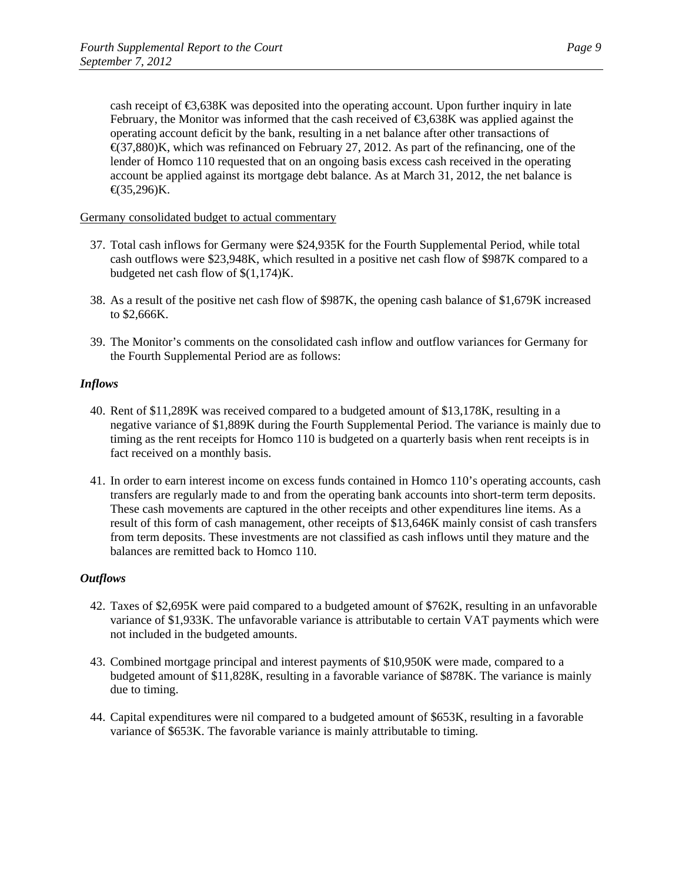cash receipt of  $\epsilon$ 3,638K was deposited into the operating account. Upon further inquiry in late February, the Monitor was informed that the cash received of €3,638K was applied against the operating account deficit by the bank, resulting in a net balance after other transactions of  $\triangleleft$ (37,880)K, which was refinanced on February 27, 2012. As part of the refinancing, one of the lender of Homco 110 requested that on an ongoing basis excess cash received in the operating account be applied against its mortgage debt balance. As at March 31, 2012, the net balance is  $\epsilon$ (35,296)K.

Germany consolidated budget to actual commentary

- 37. Total cash inflows for Germany were \$24,935K for the Fourth Supplemental Period, while total cash outflows were \$23,948K, which resulted in a positive net cash flow of \$987K compared to a budgeted net cash flow of \$(1,174)K.
- 38. As a result of the positive net cash flow of \$987K, the opening cash balance of \$1,679K increased to \$2,666K.
- 39. The Monitor's comments on the consolidated cash inflow and outflow variances for Germany for the Fourth Supplemental Period are as follows:

## *Inflows*

- 40. Rent of \$11,289K was received compared to a budgeted amount of \$13,178K, resulting in a negative variance of \$1,889K during the Fourth Supplemental Period. The variance is mainly due to timing as the rent receipts for Homco 110 is budgeted on a quarterly basis when rent receipts is in fact received on a monthly basis.
- 41. In order to earn interest income on excess funds contained in Homco 110's operating accounts, cash transfers are regularly made to and from the operating bank accounts into short-term term deposits. These cash movements are captured in the other receipts and other expenditures line items. As a result of this form of cash management, other receipts of \$13,646K mainly consist of cash transfers from term deposits. These investments are not classified as cash inflows until they mature and the balances are remitted back to Homco 110.

- 42. Taxes of \$2,695K were paid compared to a budgeted amount of \$762K, resulting in an unfavorable variance of \$1,933K. The unfavorable variance is attributable to certain VAT payments which were not included in the budgeted amounts.
- 43. Combined mortgage principal and interest payments of \$10,950K were made, compared to a budgeted amount of \$11,828K, resulting in a favorable variance of \$878K. The variance is mainly due to timing.
- 44. Capital expenditures were nil compared to a budgeted amount of \$653K, resulting in a favorable variance of \$653K. The favorable variance is mainly attributable to timing.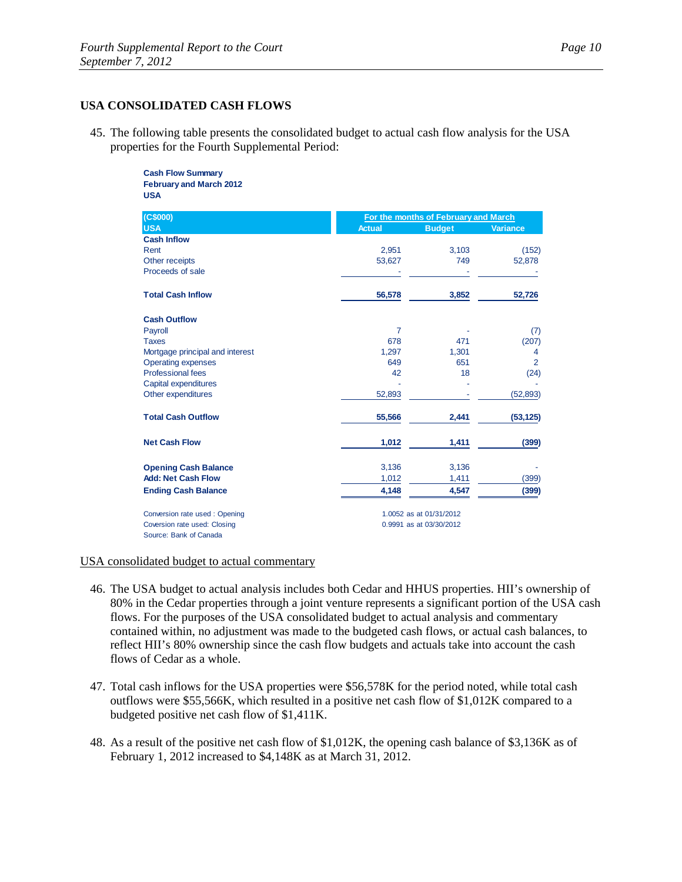#### **USA CONSOLIDATED CASH FLOWS**

45. The following table presents the consolidated budget to actual cash flow analysis for the USA properties for the Fourth Supplemental Period:

#### **Cash Flow Summary February and March 2012 USA**

| (C\$000)                        |                | For the months of February and March |                 |  |
|---------------------------------|----------------|--------------------------------------|-----------------|--|
| <b>USA</b>                      | <b>Actual</b>  | <b>Budget</b>                        | <b>Variance</b> |  |
| <b>Cash Inflow</b>              |                |                                      |                 |  |
| Rent                            | 2,951          | 3,103                                | (152)           |  |
| Other receipts                  | 53,627         | 749                                  | 52,878          |  |
| Proceeds of sale                |                |                                      |                 |  |
| <b>Total Cash Inflow</b>        | 56,578         | 3,852                                | 52,726          |  |
| <b>Cash Outflow</b>             |                |                                      |                 |  |
| Payroll                         | $\overline{7}$ |                                      | (7)             |  |
| <b>Taxes</b>                    | 678            | 471                                  | (207)           |  |
| Mortgage principal and interest | 1,297          | 1,301                                | 4               |  |
| <b>Operating expenses</b>       | 649            | 651                                  | $\overline{2}$  |  |
| <b>Professional fees</b>        | 42             | 18                                   | (24)            |  |
| Capital expenditures            |                |                                      |                 |  |
| Other expenditures              | 52,893         |                                      | (52, 893)       |  |
| <b>Total Cash Outflow</b>       | 55,566         | 2,441                                | (53, 125)       |  |
| <b>Net Cash Flow</b>            | 1,012          | 1,411                                | (399)           |  |
| <b>Opening Cash Balance</b>     | 3,136          | 3,136                                |                 |  |
| <b>Add: Net Cash Flow</b>       | 1,012          | 1,411                                | (399)           |  |
| <b>Ending Cash Balance</b>      | 4,148          | 4,547                                | (399)           |  |
| Conversion rate used: Opening   |                | 1.0052 as at 01/31/2012              |                 |  |
| Coversion rate used: Closing    |                | 0.9991 as at 03/30/2012              |                 |  |
| Source: Bank of Canada          |                |                                      |                 |  |

#### USA consolidated budget to actual commentary

- 46. The USA budget to actual analysis includes both Cedar and HHUS properties. HII's ownership of 80% in the Cedar properties through a joint venture represents a significant portion of the USA cash flows. For the purposes of the USA consolidated budget to actual analysis and commentary contained within, no adjustment was made to the budgeted cash flows, or actual cash balances, to reflect HII's 80% ownership since the cash flow budgets and actuals take into account the cash flows of Cedar as a whole.
- 47. Total cash inflows for the USA properties were \$56,578K for the period noted, while total cash outflows were \$55,566K, which resulted in a positive net cash flow of \$1,012K compared to a budgeted positive net cash flow of \$1,411K.
- 48. As a result of the positive net cash flow of \$1,012K, the opening cash balance of \$3,136K as of February 1, 2012 increased to \$4,148K as at March 31, 2012.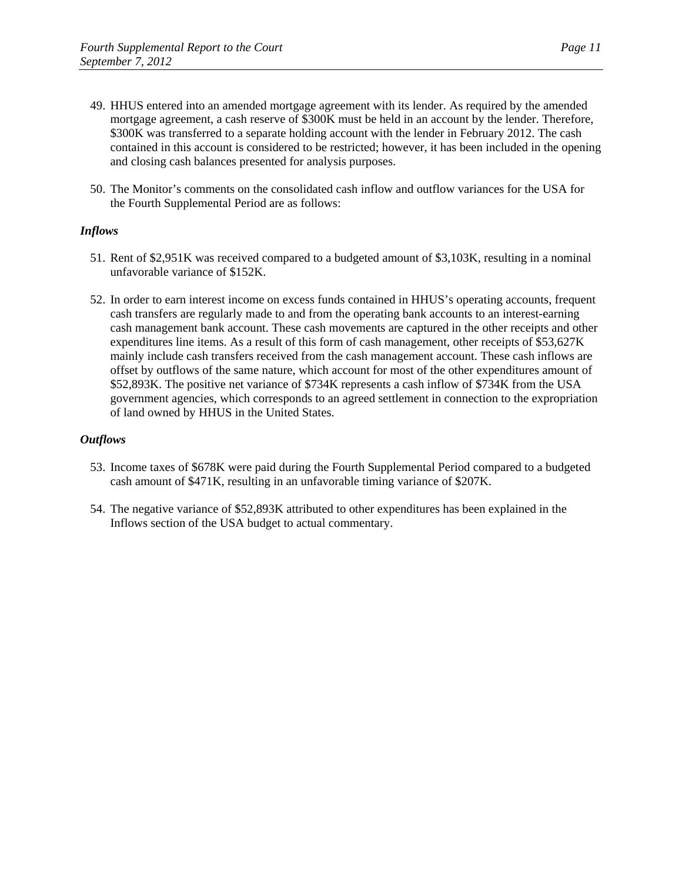- 49. HHUS entered into an amended mortgage agreement with its lender. As required by the amended mortgage agreement, a cash reserve of \$300K must be held in an account by the lender. Therefore, \$300K was transferred to a separate holding account with the lender in February 2012. The cash contained in this account is considered to be restricted; however, it has been included in the opening and closing cash balances presented for analysis purposes.
- 50. The Monitor's comments on the consolidated cash inflow and outflow variances for the USA for the Fourth Supplemental Period are as follows:

## *Inflows*

- 51. Rent of \$2,951K was received compared to a budgeted amount of \$3,103K, resulting in a nominal unfavorable variance of \$152K.
- 52. In order to earn interest income on excess funds contained in HHUS's operating accounts, frequent cash transfers are regularly made to and from the operating bank accounts to an interest-earning cash management bank account. These cash movements are captured in the other receipts and other expenditures line items. As a result of this form of cash management, other receipts of \$53,627K mainly include cash transfers received from the cash management account. These cash inflows are offset by outflows of the same nature, which account for most of the other expenditures amount of \$52,893K. The positive net variance of \$734K represents a cash inflow of \$734K from the USA government agencies, which corresponds to an agreed settlement in connection to the expropriation of land owned by HHUS in the United States.

- 53. Income taxes of \$678K were paid during the Fourth Supplemental Period compared to a budgeted cash amount of \$471K, resulting in an unfavorable timing variance of \$207K.
- 54. The negative variance of \$52,893K attributed to other expenditures has been explained in the Inflows section of the USA budget to actual commentary.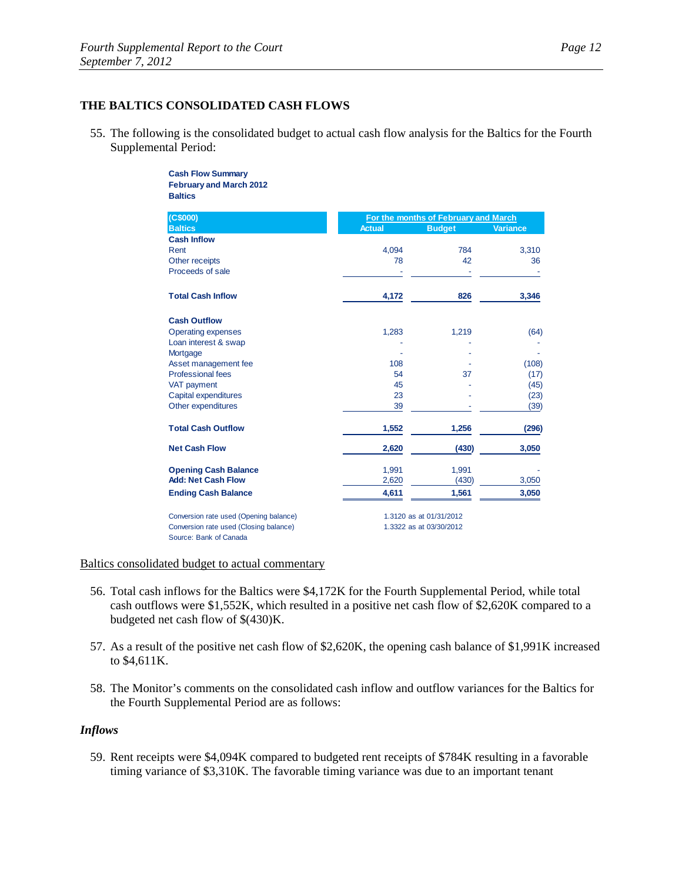## **THE BALTICS CONSOLIDATED CASH FLOWS**

55. The following is the consolidated budget to actual cash flow analysis for the Baltics for the Fourth Supplemental Period:

#### **Cash Flow Summary February and March 2012 Baltics**

| (C\$000)                               | For the months of February and March |                         |                 |  |
|----------------------------------------|--------------------------------------|-------------------------|-----------------|--|
| <b>Baltics</b>                         | <b>Actual</b>                        | <b>Budget</b>           | <b>Variance</b> |  |
| <b>Cash Inflow</b>                     |                                      |                         |                 |  |
| Rent                                   | 4,094                                | 784                     | 3,310           |  |
| Other receipts                         | 78                                   | 42                      | 36              |  |
| Proceeds of sale                       |                                      |                         |                 |  |
| <b>Total Cash Inflow</b>               | 4,172                                | 826                     | 3,346           |  |
| <b>Cash Outflow</b>                    |                                      |                         |                 |  |
| <b>Operating expenses</b>              | 1,283                                | 1,219                   | (64)            |  |
| Loan interest & swap                   |                                      |                         |                 |  |
| Mortgage                               |                                      |                         |                 |  |
| Asset management fee                   | 108                                  |                         | (108)           |  |
| <b>Professional fees</b>               | 54                                   | 37                      | (17)            |  |
| VAT payment                            | 45                                   |                         | (45)            |  |
| Capital expenditures                   | 23                                   |                         | (23)            |  |
| Other expenditures                     | 39                                   |                         | (39)            |  |
| <b>Total Cash Outflow</b>              | 1,552                                | 1,256                   | (296)           |  |
| <b>Net Cash Flow</b>                   | 2,620                                | (430)                   | 3,050           |  |
| <b>Opening Cash Balance</b>            | 1,991                                | 1,991                   |                 |  |
| <b>Add: Net Cash Flow</b>              | 2,620                                | (430)                   | 3,050           |  |
| <b>Ending Cash Balance</b>             | 4,611                                | 1,561                   | 3,050           |  |
| Conversion rate used (Opening balance) |                                      | 1.3120 as at 01/31/2012 |                 |  |
| Conversion rate used (Closing balance) |                                      | 1.3322 as at 03/30/2012 |                 |  |
| Source: Bank of Canada                 |                                      |                         |                 |  |

#### Baltics consolidated budget to actual commentary

- 56. Total cash inflows for the Baltics were \$4,172K for the Fourth Supplemental Period, while total cash outflows were \$1,552K, which resulted in a positive net cash flow of \$2,620K compared to a budgeted net cash flow of \$(430)K.
- 57. As a result of the positive net cash flow of \$2,620K, the opening cash balance of \$1,991K increased to \$4,611K.
- 58. The Monitor's comments on the consolidated cash inflow and outflow variances for the Baltics for the Fourth Supplemental Period are as follows:

#### *Inflows*

59. Rent receipts were \$4,094K compared to budgeted rent receipts of \$784K resulting in a favorable timing variance of \$3,310K. The favorable timing variance was due to an important tenant